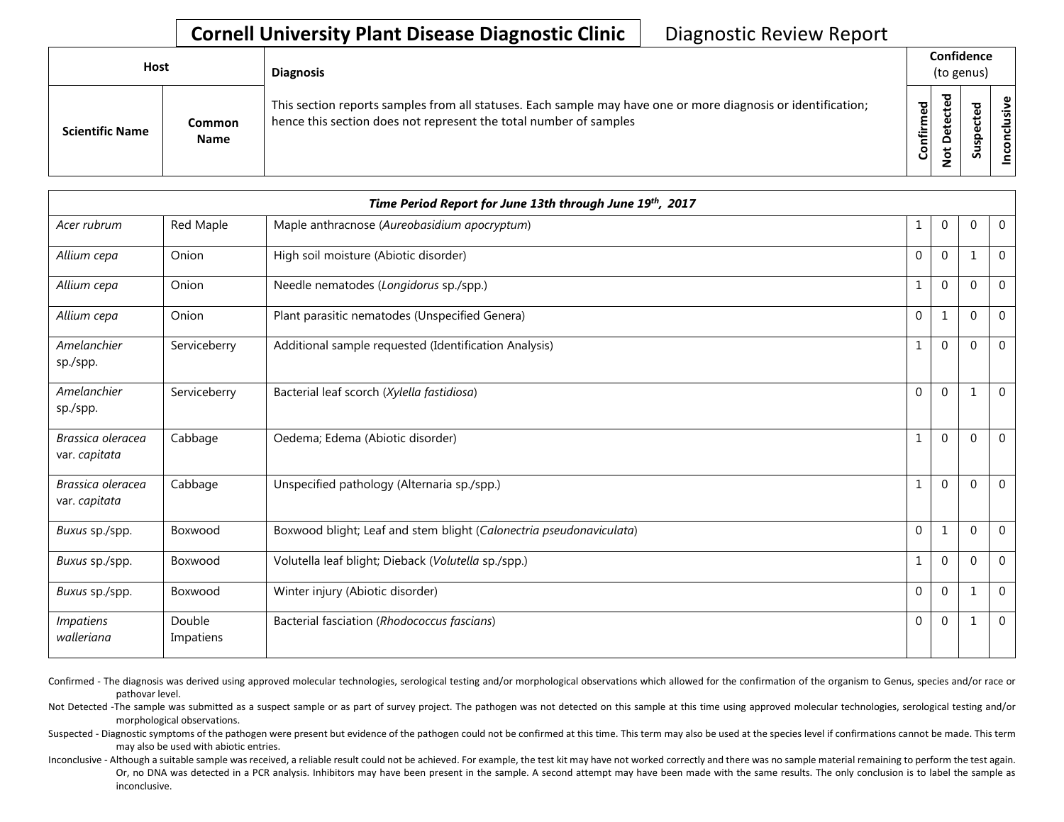## **Cornell University Plant Disease Diagnostic Clinic** | Diagnostic Review Report

| Host                   |                       | <b>Diagnosis</b>                                                                                                                                                                   |           | Confidence<br>(to genus)          |        |             |  |  |
|------------------------|-----------------------|------------------------------------------------------------------------------------------------------------------------------------------------------------------------------------|-----------|-----------------------------------|--------|-------------|--|--|
| <b>Scientific Name</b> | Common<br><b>Name</b> | This section reports samples from all statuses. Each sample may have one or more diagnosis or identification;<br>hence this section does not represent the total number of samples | Confirmed | ъ<br>ن<br>ω<br>یو<br>≏<br>ىپ<br>⇁ | ਠ<br>ທ | usive<br>᠊ᠣ |  |  |

|                                    |                     | Time Period Report for June 13th through June 19th, 2017            |              |              |          |                |
|------------------------------------|---------------------|---------------------------------------------------------------------|--------------|--------------|----------|----------------|
| Acer rubrum                        | Red Maple           | Maple anthracnose (Aureobasidium apocryptum)                        | 1            | $\mathbf{0}$ | $\Omega$ | $\mathbf 0$    |
| Allium cepa                        | Onion               | High soil moisture (Abiotic disorder)                               | $\mathbf{0}$ | $\mathbf 0$  | 1        | $\overline{0}$ |
| Allium cepa                        | Onion               | Needle nematodes (Longidorus sp./spp.)                              |              | $\mathbf 0$  | $\Omega$ | $\overline{0}$ |
| Allium cepa                        | Onion               | Plant parasitic nematodes (Unspecified Genera)                      | $\mathbf 0$  | 1            | $\Omega$ | $\mathbf 0$    |
| Amelanchier<br>sp./spp.            | Serviceberry        | Additional sample requested (Identification Analysis)               | 1            | $\mathbf 0$  | $\Omega$ | $\mathbf 0$    |
| Amelanchier<br>sp./spp.            | Serviceberry        | Bacterial leaf scorch (Xylella fastidiosa)                          | $\Omega$     | $\mathbf{0}$ | 1        | $\Omega$       |
| Brassica oleracea<br>var. capitata | Cabbage             | Oedema; Edema (Abiotic disorder)                                    | 1            | $\mathbf 0$  | $\Omega$ | $\overline{0}$ |
| Brassica oleracea<br>var. capitata | Cabbage             | Unspecified pathology (Alternaria sp./spp.)                         |              | $\mathbf 0$  | $\Omega$ | $\mathbf 0$    |
| Buxus sp./spp.                     | Boxwood             | Boxwood blight; Leaf and stem blight (Calonectria pseudonaviculata) | $\mathbf{0}$ | 1            | $\Omega$ | $\Omega$       |
| Buxus sp./spp.                     | Boxwood             | Volutella leaf blight; Dieback (Volutella sp./spp.)                 | $\mathbf{1}$ | $\mathbf{0}$ | $\Omega$ | $\overline{0}$ |
| Buxus sp./spp.                     | Boxwood             | Winter injury (Abiotic disorder)                                    | 0            | $\mathbf 0$  |          | $\overline{0}$ |
| <b>Impatiens</b><br>walleriana     | Double<br>Impatiens | Bacterial fasciation (Rhodococcus fascians)                         | 0            | $\mathbf 0$  |          | $\mathbf 0$    |

Confirmed - The diagnosis was derived using approved molecular technologies, serological testing and/or morphological observations which allowed for the confirmation of the organism to Genus, species and/or race or pathovar level.

Not Detected -The sample was submitted as a suspect sample or as part of survey project. The pathogen was not detected on this sample at this time using approved molecular technologies, serological testing and/or morphological observations.

Suspected - Diagnostic symptoms of the pathogen were present but evidence of the pathogen could not be confirmed at this time. This term may also be used at the species level if confirmations cannot be made. This term may also be used with abiotic entries.

Inconclusive - Although a suitable sample was received, a reliable result could not be achieved. For example, the test kit may have not worked correctly and there was no sample material remaining to perform the test again. Or, no DNA was detected in a PCR analysis. Inhibitors may have been present in the sample. A second attempt may have been made with the same results. The only conclusion is to label the sample as inconclusive.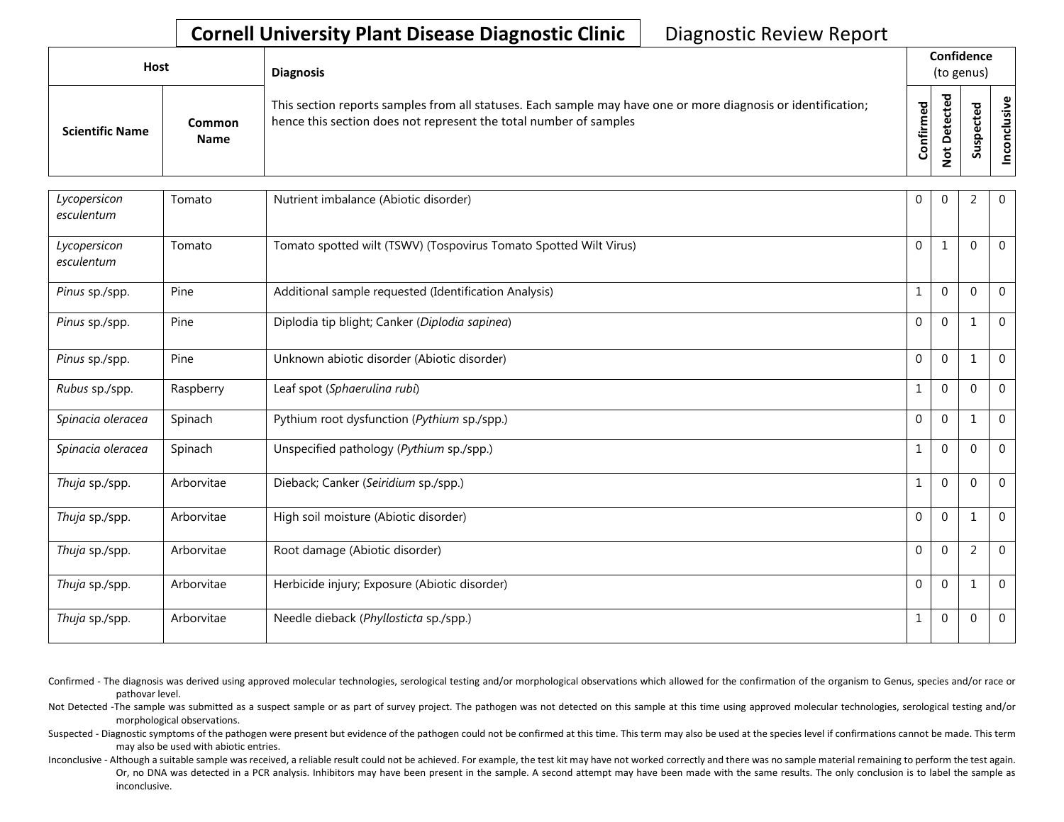## **Cornell University Plant Disease Diagnostic Clinic** | Diagnostic Review Report

| Host |                        |                       | <b>Diagnosis</b>                                                                                                                                                                   | Confidence<br>(to genus) |        |        |  |
|------|------------------------|-----------------------|------------------------------------------------------------------------------------------------------------------------------------------------------------------------------------|--------------------------|--------|--------|--|
|      | <b>Scientific Name</b> | Common<br><b>Name</b> | This section reports samples from all statuses. Each sample may have one or more diagnosis or identification;<br>hence this section does not represent the total number of samples | Confirmed                | ъ<br>Q | ਠ<br>w |  |

| Lycopersicon<br>esculentum | Tomato     | Nutrient imbalance (Abiotic disorder)                             | 0              | 0              | 2              | $\overline{0}$ |
|----------------------------|------------|-------------------------------------------------------------------|----------------|----------------|----------------|----------------|
| Lycopersicon<br>esculentum | Tomato     | Tomato spotted wilt (TSWV) (Tospovirus Tomato Spotted Wilt Virus) | $\Omega$       |                | $\Omega$       | $\mathbf 0$    |
| Pinus sp./spp.             | Pine       | Additional sample requested (Identification Analysis)             |                | 0              | $\overline{0}$ | $\overline{0}$ |
| Pinus sp./spp.             | Pine       | Diplodia tip blight; Canker (Diplodia sapinea)                    | $\mathbf{0}$   | $\overline{0}$ | 1              | $\overline{0}$ |
| Pinus sp./spp.             | Pine       | Unknown abiotic disorder (Abiotic disorder)                       | $\Omega$       | $\Omega$       | 1              | $\Omega$       |
| Rubus sp./spp.             | Raspberry  | Leaf spot (Sphaerulina rubi)                                      |                | 0              | $\overline{0}$ | $\overline{0}$ |
| Spinacia oleracea          | Spinach    | Pythium root dysfunction (Pythium sp./spp.)                       | 0              | 0              | $\mathbf{1}$   | $\overline{0}$ |
| Spinacia oleracea          | Spinach    | Unspecified pathology (Pythium sp./spp.)                          |                | 0              | $\overline{0}$ | $\overline{0}$ |
| Thuja sp./spp.             | Arborvitae | Dieback; Canker (Seiridium sp./spp.)                              | 1              | 0              | $\mathbf{0}$   | $\overline{0}$ |
| Thuja sp./spp.             | Arborvitae | High soil moisture (Abiotic disorder)                             | $\overline{0}$ | $\overline{0}$ | $\mathbf{1}$   | $\overline{0}$ |
| Thuja sp./spp.             | Arborvitae | Root damage (Abiotic disorder)                                    | $\overline{0}$ | $\overline{0}$ | $\overline{2}$ | $\mathbf 0$    |
| Thuja sp./spp.             | Arborvitae | Herbicide injury; Exposure (Abiotic disorder)                     | $\Omega$       | 0              | $\mathbf{1}$   | $\overline{0}$ |
| Thuja sp./spp.             | Arborvitae | Needle dieback (Phyllosticta sp./spp.)                            | $\perp$        | 0              | $\mathbf 0$    | $\mathbf 0$    |

- Confirmed The diagnosis was derived using approved molecular technologies, serological testing and/or morphological observations which allowed for the confirmation of the organism to Genus, species and/or race or pathovar level.
- Not Detected -The sample was submitted as a suspect sample or as part of survey project. The pathogen was not detected on this sample at this time using approved molecular technologies, serological testing and/or morphological observations.
- Suspected Diagnostic symptoms of the pathogen were present but evidence of the pathogen could not be confirmed at this time. This term may also be used at the species level if confirmations cannot be made. This term may also be used with abiotic entries.
- Inconclusive Although a suitable sample was received, a reliable result could not be achieved. For example, the test kit may have not worked correctly and there was no sample material remaining to perform the test again. Or, no DNA was detected in a PCR analysis. Inhibitors may have been present in the sample. A second attempt may have been made with the same results. The only conclusion is to label the sample as inconclusive.